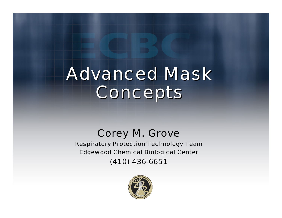# Advanced Mask Advanced Mask Concepts Concepts

### Corey M. Grove

R espiratory Protection Technology Team Edgewood Chemical Biological Center (410) 436-6651

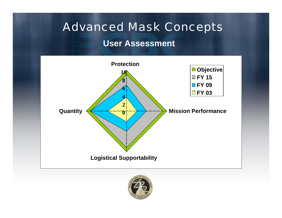#### **User Assessment**



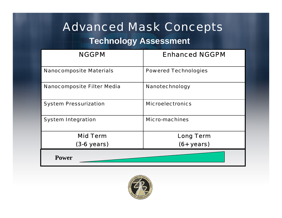#### **Technology Assessment**

| <b>NGGPM</b>                      | <b>Enhanced NGGPM</b>       |
|-----------------------------------|-----------------------------|
| <b>Nanocomposite Materials</b>    | <b>Powered Technologies</b> |
| <b>Nanocomposite Filter Media</b> | <b>Nanotechnology</b>       |
| <b>System Pressurization</b>      | <b>Microelectronics</b>     |
| <b>System Integration</b>         | <b>Micro-machines</b>       |
| <b>Mid Term</b>                   | <b>Long Term</b>            |
| $(3-6 \text{ years})$             | $(6 + years)$               |
| <b>Power</b>                      |                             |

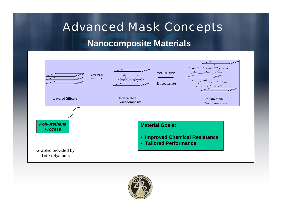#### **Nanocomposite Materials**



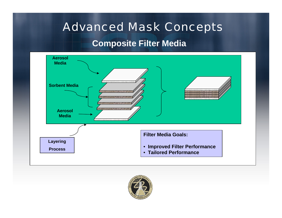#### **Composite Filter Media**



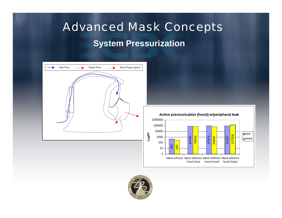# Advanced Mask Concepts **System Pressurization**



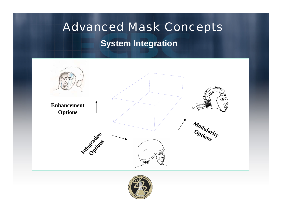# Advanced Mask Concepts **System Integration**



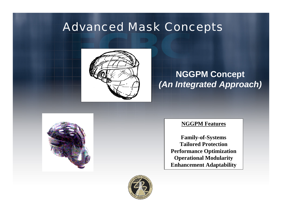

### **NGGPM Concept** *(An Integrated Approach)*



#### **NGGPM Features**

**Family-of-Systems Tailored ProtectionPerformance Optimization Operational Modularity Enh ancement Adaptability**

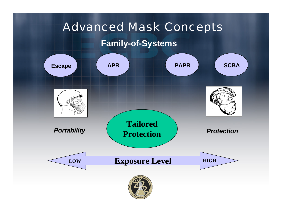#### **Family-of-Systems**

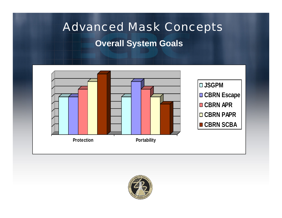# **Advanced Mask Concepts Overall System Goals**



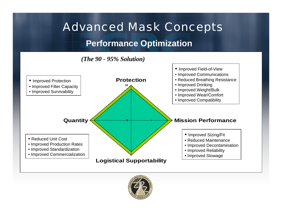#### **Performance Optimization**





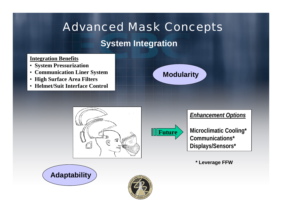### **System Integration**

#### <u>Integration Benefits</u>

- **System Pressurization**
- **Communication Liner System**
- **High Surface Area Filters**
- **Helmet/Suit Interface C ontrol**









**Microclimatic Cooling\* Communications\*Displays/Sensors\***

**\* Leverage FFW**



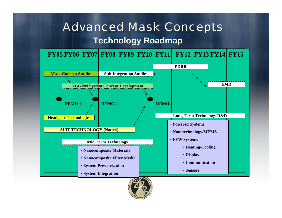# Advanced Mask Concepts **Technology Roadmap**